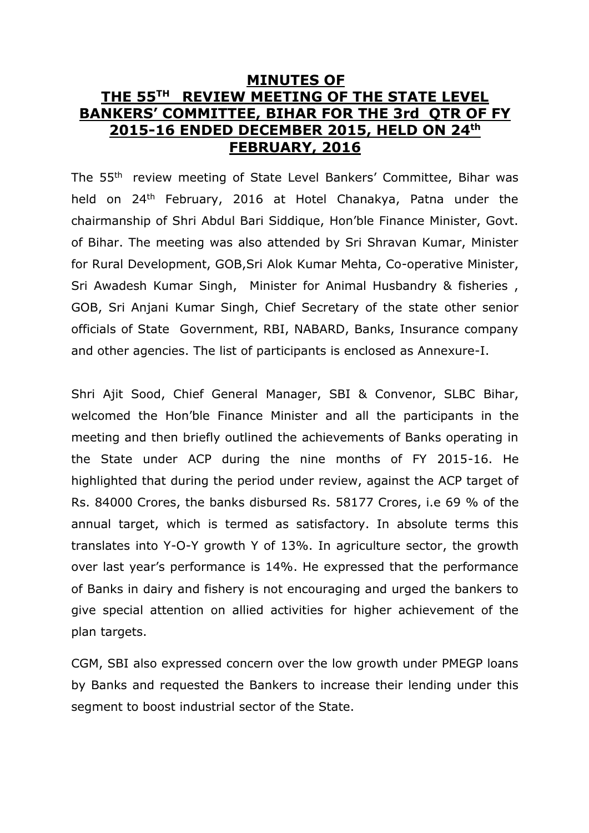## **MINUTES OF THE 55TH REVIEW MEETING OF THE STATE LEVEL BANKERS' COMMITTEE, BIHAR FOR THE 3rd QTR OF FY 2015-16 ENDED DECEMBER 2015, HELD ON 24th FEBRUARY, 2016**

The 55th review meeting of State Level Bankers' Committee, Bihar was held on 24th February, 2016 at Hotel Chanakya, Patna under the chairmanship of Shri Abdul Bari Siddique, Hon'ble Finance Minister, Govt. of Bihar. The meeting was also attended by Sri Shravan Kumar, Minister for Rural Development, GOB,Sri Alok Kumar Mehta, Co-operative Minister, Sri Awadesh Kumar Singh, Minister for Animal Husbandry & fisheries , GOB, Sri Anjani Kumar Singh, Chief Secretary of the state other senior officials of State Government, RBI, NABARD, Banks, Insurance company and other agencies. The list of participants is enclosed as Annexure-I.

Shri Ajit Sood, Chief General Manager, SBI & Convenor, SLBC Bihar, welcomed the Hon'ble Finance Minister and all the participants in the meeting and then briefly outlined the achievements of Banks operating in the State under ACP during the nine months of FY 2015-16. He highlighted that during the period under review, against the ACP target of Rs. 84000 Crores, the banks disbursed Rs. 58177 Crores, i.e 69 % of the annual target, which is termed as satisfactory. In absolute terms this translates into Y-O-Y growth Y of 13%. In agriculture sector, the growth over last year's performance is 14%. He expressed that the performance of Banks in dairy and fishery is not encouraging and urged the bankers to give special attention on allied activities for higher achievement of the plan targets.

CGM, SBI also expressed concern over the low growth under PMEGP loans by Banks and requested the Bankers to increase their lending under this segment to boost industrial sector of the State.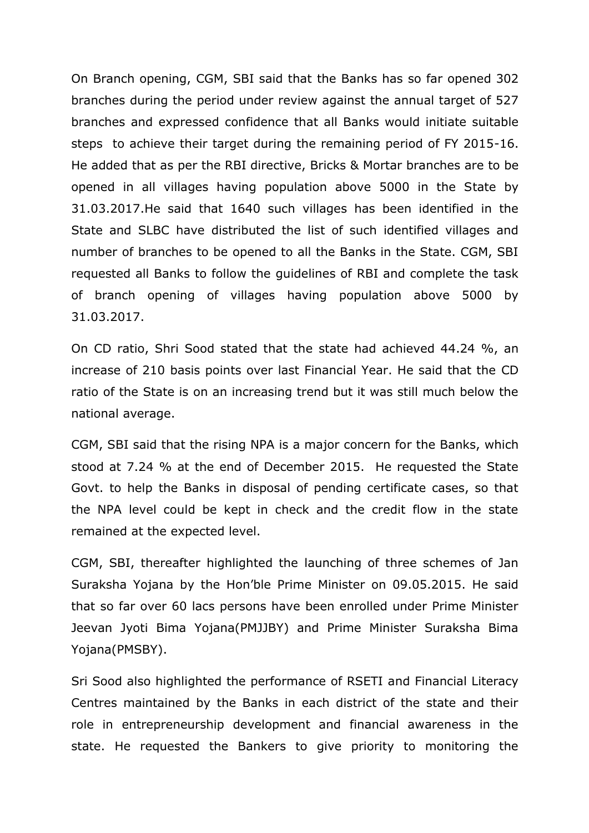On Branch opening, CGM, SBI said that the Banks has so far opened 302 branches during the period under review against the annual target of 527 branches and expressed confidence that all Banks would initiate suitable steps to achieve their target during the remaining period of FY 2015-16. He added that as per the RBI directive, Bricks & Mortar branches are to be opened in all villages having population above 5000 in the State by 31.03.2017.He said that 1640 such villages has been identified in the State and SLBC have distributed the list of such identified villages and number of branches to be opened to all the Banks in the State. CGM, SBI requested all Banks to follow the guidelines of RBI and complete the task of branch opening of villages having population above 5000 by 31.03.2017.

On CD ratio, Shri Sood stated that the state had achieved 44.24 %, an increase of 210 basis points over last Financial Year. He said that the CD ratio of the State is on an increasing trend but it was still much below the national average.

CGM, SBI said that the rising NPA is a major concern for the Banks, which stood at 7.24 % at the end of December 2015. He requested the State Govt. to help the Banks in disposal of pending certificate cases, so that the NPA level could be kept in check and the credit flow in the state remained at the expected level.

CGM, SBI, thereafter highlighted the launching of three schemes of Jan Suraksha Yojana by the Hon'ble Prime Minister on 09.05.2015. He said that so far over 60 lacs persons have been enrolled under Prime Minister Jeevan Jyoti Bima Yojana(PMJJBY) and Prime Minister Suraksha Bima Yojana(PMSBY).

Sri Sood also highlighted the performance of RSETI and Financial Literacy Centres maintained by the Banks in each district of the state and their role in entrepreneurship development and financial awareness in the state. He requested the Bankers to give priority to monitoring the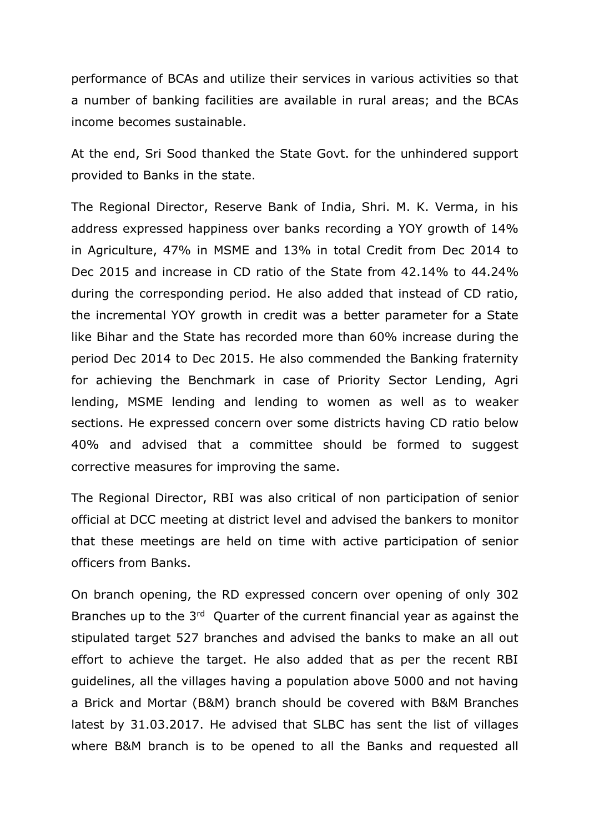performance of BCAs and utilize their services in various activities so that a number of banking facilities are available in rural areas; and the BCAs income becomes sustainable.

At the end, Sri Sood thanked the State Govt. for the unhindered support provided to Banks in the state.

The Regional Director, Reserve Bank of India, Shri. M. K. Verma, in his address expressed happiness over banks recording a YOY growth of 14% in Agriculture, 47% in MSME and 13% in total Credit from Dec 2014 to Dec 2015 and increase in CD ratio of the State from 42.14% to 44.24% during the corresponding period. He also added that instead of CD ratio, the incremental YOY growth in credit was a better parameter for a State like Bihar and the State has recorded more than 60% increase during the period Dec 2014 to Dec 2015. He also commended the Banking fraternity for achieving the Benchmark in case of Priority Sector Lending, Agri lending, MSME lending and lending to women as well as to weaker sections. He expressed concern over some districts having CD ratio below 40% and advised that a committee should be formed to suggest corrective measures for improving the same.

The Regional Director, RBI was also critical of non participation of senior official at DCC meeting at district level and advised the bankers to monitor that these meetings are held on time with active participation of senior officers from Banks.

On branch opening, the RD expressed concern over opening of only 302 Branches up to the 3<sup>rd</sup> Quarter of the current financial year as against the stipulated target 527 branches and advised the banks to make an all out effort to achieve the target. He also added that as per the recent RBI guidelines, all the villages having a population above 5000 and not having a Brick and Mortar (B&M) branch should be covered with B&M Branches latest by 31.03.2017. He advised that SLBC has sent the list of villages where B&M branch is to be opened to all the Banks and requested all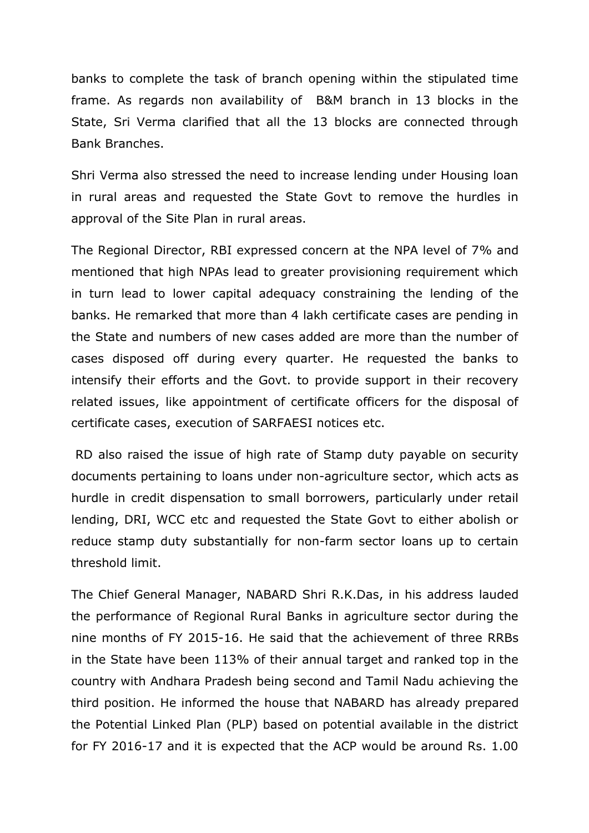banks to complete the task of branch opening within the stipulated time frame. As regards non availability of B&M branch in 13 blocks in the State, Sri Verma clarified that all the 13 blocks are connected through Bank Branches.

Shri Verma also stressed the need to increase lending under Housing loan in rural areas and requested the State Govt to remove the hurdles in approval of the Site Plan in rural areas.

The Regional Director, RBI expressed concern at the NPA level of 7% and mentioned that high NPAs lead to greater provisioning requirement which in turn lead to lower capital adequacy constraining the lending of the banks. He remarked that more than 4 lakh certificate cases are pending in the State and numbers of new cases added are more than the number of cases disposed off during every quarter. He requested the banks to intensify their efforts and the Govt. to provide support in their recovery related issues, like appointment of certificate officers for the disposal of certificate cases, execution of SARFAESI notices etc.

RD also raised the issue of high rate of Stamp duty payable on security documents pertaining to loans under non-agriculture sector, which acts as hurdle in credit dispensation to small borrowers, particularly under retail lending, DRI, WCC etc and requested the State Govt to either abolish or reduce stamp duty substantially for non-farm sector loans up to certain threshold limit.

The Chief General Manager, NABARD Shri R.K.Das, in his address lauded the performance of Regional Rural Banks in agriculture sector during the nine months of FY 2015-16. He said that the achievement of three RRBs in the State have been 113% of their annual target and ranked top in the country with Andhara Pradesh being second and Tamil Nadu achieving the third position. He informed the house that NABARD has already prepared the Potential Linked Plan (PLP) based on potential available in the district for FY 2016-17 and it is expected that the ACP would be around Rs. 1.00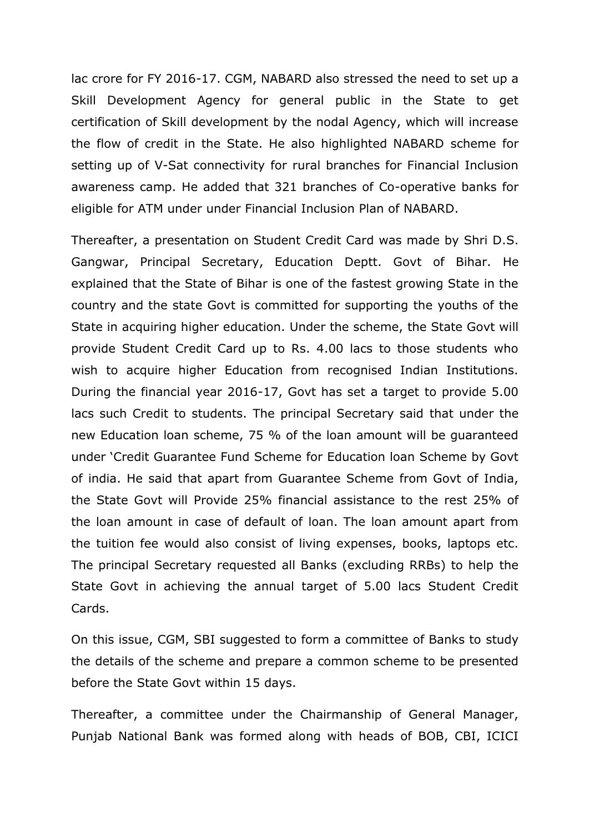lac crore for FY 2016-17. CGM, NABARD also stressed the need to set up a Skill Development Agency for general public in the State to get certification of Skill development by the nodal Agency, which will increase the flow of credit in the State. He also highlighted NABARD scheme for setting up of V-Sat connectivity for rural branches for Financial Inclusion awareness camp. He added that 321 branches of Co-operative banks for eligible for ATM under under Financial Inclusion Plan of NABARD.

Thereafter, a presentation on Student Credit Card was made by Shri D.S. Gangwar, Principal Secretary, Education Deptt. Govt of Bihar. He explained that the State of Bihar is one of the fastest growing State in the country and the state Govt is committed for supporting the youths of the State in acquiring higher education. Under the scheme, the State Govt will provide Student Credit Card up to Rs. 4.00 lacs to those students who wish to acquire higher Education from recognised Indian Institutions. During the financial year 2016-17, Govt has set a target to provide 5.00 lacs such Credit to students. The principal Secretary said that under the new Education loan scheme, 75 % of the loan amount will be guaranteed under 'Credit Guarantee Fund Scheme for Education loan Scheme by Govt of india. He said that apart from Guarantee Scheme from Govt of India, the State Govt will Provide 25% financial assistance to the rest 25% of the loan amount in case of default of loan. The loan amount apart from the tuition fee would also consist of living expenses, books, laptops etc. The principal Secretary requested all Banks (excluding RRBs) to help the State Govt in achieving the annual target of 5.00 lacs Student Credit Cards.

On this issue, CGM, SBI suggested to form a committee of Banks to study the details of the scheme and prepare a common scheme to be presented before the State Govt within 15 days.

Thereafter, a committee under the Chairmanship of General Manager, Punjab National Bank was formed along with heads of BOB, CBI, ICICI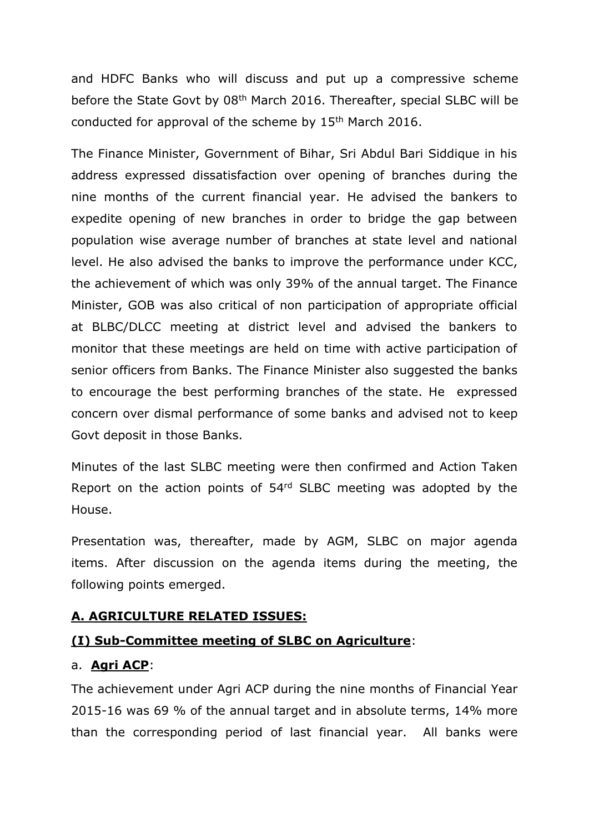and HDFC Banks who will discuss and put up a compressive scheme before the State Govt by 08th March 2016. Thereafter, special SLBC will be conducted for approval of the scheme by 15<sup>th</sup> March 2016.

The Finance Minister, Government of Bihar, Sri Abdul Bari Siddique in his address expressed dissatisfaction over opening of branches during the nine months of the current financial year. He advised the bankers to expedite opening of new branches in order to bridge the gap between population wise average number of branches at state level and national level. He also advised the banks to improve the performance under KCC, the achievement of which was only 39% of the annual target. The Finance Minister, GOB was also critical of non participation of appropriate official at BLBC/DLCC meeting at district level and advised the bankers to monitor that these meetings are held on time with active participation of senior officers from Banks. The Finance Minister also suggested the banks to encourage the best performing branches of the state. He expressed concern over dismal performance of some banks and advised not to keep Govt deposit in those Banks.

Minutes of the last SLBC meeting were then confirmed and Action Taken Report on the action points of 54<sup>rd</sup> SLBC meeting was adopted by the House.

Presentation was, thereafter, made by AGM, SLBC on major agenda items. After discussion on the agenda items during the meeting, the following points emerged.

## **A. AGRICULTURE RELATED ISSUES:**

## **(I) Sub-Committee meeting of SLBC on Agriculture**:

#### a. **Agri ACP**:

The achievement under Agri ACP during the nine months of Financial Year 2015-16 was 69 % of the annual target and in absolute terms, 14% more than the corresponding period of last financial year. All banks were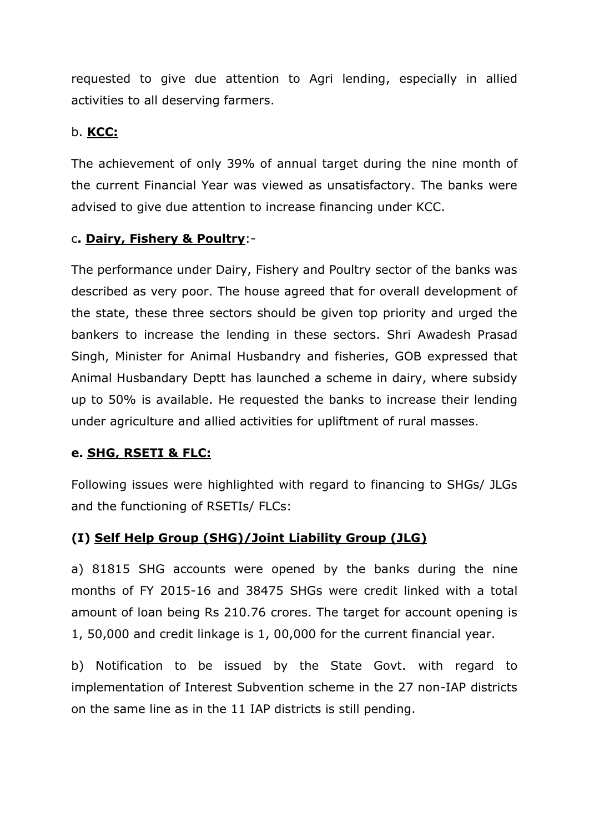requested to give due attention to Agri lending, especially in allied activities to all deserving farmers.

## b. **KCC:**

The achievement of only 39% of annual target during the nine month of the current Financial Year was viewed as unsatisfactory. The banks were advised to give due attention to increase financing under KCC.

## c**. Dairy, Fishery & Poultry**:-

The performance under Dairy, Fishery and Poultry sector of the banks was described as very poor. The house agreed that for overall development of the state, these three sectors should be given top priority and urged the bankers to increase the lending in these sectors. Shri Awadesh Prasad Singh, Minister for Animal Husbandry and fisheries, GOB expressed that Animal Husbandary Deptt has launched a scheme in dairy, where subsidy up to 50% is available. He requested the banks to increase their lending under agriculture and allied activities for upliftment of rural masses.

## **e. SHG, RSETI & FLC:**

Following issues were highlighted with regard to financing to SHGs/ JLGs and the functioning of RSETIs/ FLCs:

## **(I) Self Help Group (SHG)/Joint Liability Group (JLG)**

a) 81815 SHG accounts were opened by the banks during the nine months of FY 2015-16 and 38475 SHGs were credit linked with a total amount of loan being Rs 210.76 crores. The target for account opening is 1, 50,000 and credit linkage is 1, 00,000 for the current financial year.

b) Notification to be issued by the State Govt. with regard to implementation of Interest Subvention scheme in the 27 non-IAP districts on the same line as in the 11 IAP districts is still pending.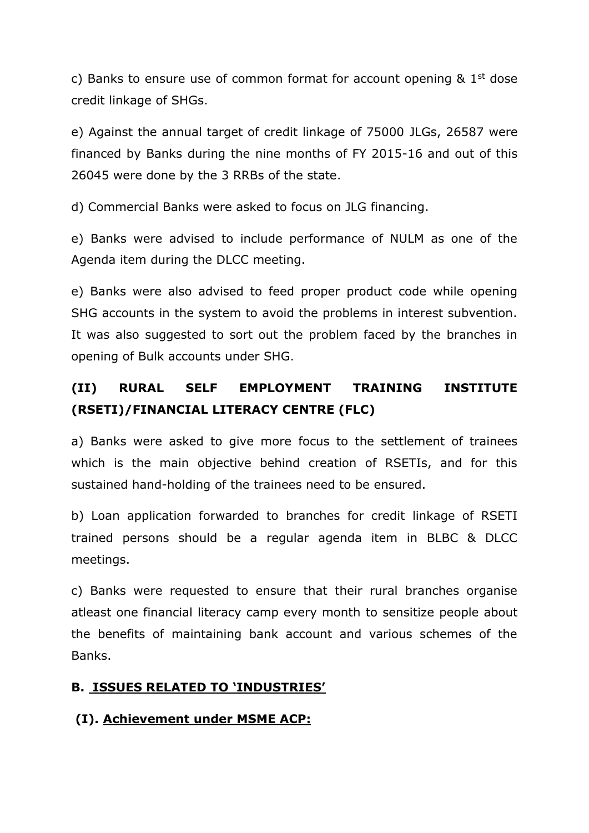c) Banks to ensure use of common format for account opening  $\&$  1<sup>st</sup> dose credit linkage of SHGs.

e) Against the annual target of credit linkage of 75000 JLGs, 26587 were financed by Banks during the nine months of FY 2015-16 and out of this 26045 were done by the 3 RRBs of the state.

d) Commercial Banks were asked to focus on JLG financing.

e) Banks were advised to include performance of NULM as one of the Agenda item during the DLCC meeting.

e) Banks were also advised to feed proper product code while opening SHG accounts in the system to avoid the problems in interest subvention. It was also suggested to sort out the problem faced by the branches in opening of Bulk accounts under SHG.

# **(II) RURAL SELF EMPLOYMENT TRAINING INSTITUTE (RSETI)/FINANCIAL LITERACY CENTRE (FLC)**

a) Banks were asked to give more focus to the settlement of trainees which is the main objective behind creation of RSETIs, and for this sustained hand-holding of the trainees need to be ensured.

b) Loan application forwarded to branches for credit linkage of RSETI trained persons should be a regular agenda item in BLBC & DLCC meetings.

c) Banks were requested to ensure that their rural branches organise atleast one financial literacy camp every month to sensitize people about the benefits of maintaining bank account and various schemes of the Banks.

## **B. ISSUES RELATED TO 'INDUSTRIES'**

## **(I). Achievement under MSME ACP:**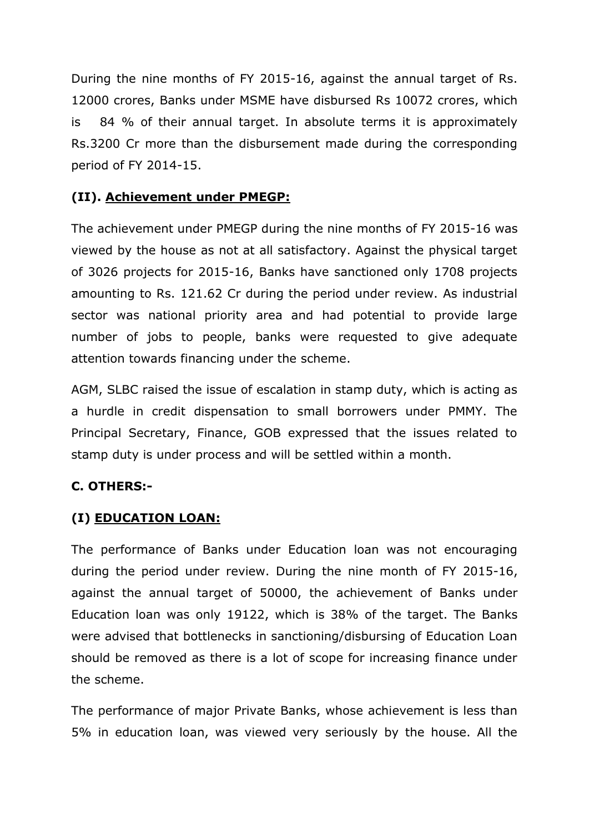During the nine months of FY 2015-16, against the annual target of Rs. 12000 crores, Banks under MSME have disbursed Rs 10072 crores, which is 84 % of their annual target. In absolute terms it is approximately Rs.3200 Cr more than the disbursement made during the corresponding period of FY 2014-15.

#### **(II). Achievement under PMEGP:**

The achievement under PMEGP during the nine months of FY 2015-16 was viewed by the house as not at all satisfactory. Against the physical target of 3026 projects for 2015-16, Banks have sanctioned only 1708 projects amounting to Rs. 121.62 Cr during the period under review. As industrial sector was national priority area and had potential to provide large number of jobs to people, banks were requested to give adequate attention towards financing under the scheme.

AGM, SLBC raised the issue of escalation in stamp duty, which is acting as a hurdle in credit dispensation to small borrowers under PMMY. The Principal Secretary, Finance, GOB expressed that the issues related to stamp duty is under process and will be settled within a month.

#### **C. OTHERS:-**

#### **(I) EDUCATION LOAN:**

The performance of Banks under Education loan was not encouraging during the period under review. During the nine month of FY 2015-16, against the annual target of 50000, the achievement of Banks under Education loan was only 19122, which is 38% of the target. The Banks were advised that bottlenecks in sanctioning/disbursing of Education Loan should be removed as there is a lot of scope for increasing finance under the scheme.

The performance of major Private Banks, whose achievement is less than 5% in education loan, was viewed very seriously by the house. All the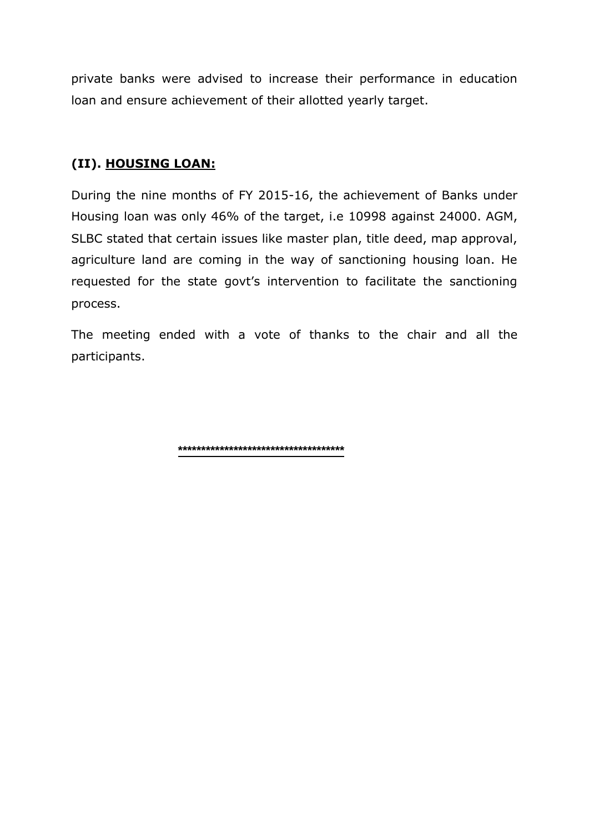private banks were advised to increase their performance in education loan and ensure achievement of their allotted yearly target.

## **(II). HOUSING LOAN:**

During the nine months of FY 2015-16, the achievement of Banks under Housing loan was only 46% of the target, i.e 10998 against 24000. AGM, SLBC stated that certain issues like master plan, title deed, map approval, agriculture land are coming in the way of sanctioning housing loan. He requested for the state govt's intervention to facilitate the sanctioning process.

The meeting ended with a vote of thanks to the chair and all the participants.

**\*\*\*\*\*\*\*\*\*\*\*\*\*\*\*\*\*\*\*\*\*\*\*\*\*\*\*\*\*\*\*\*\*\*\*\***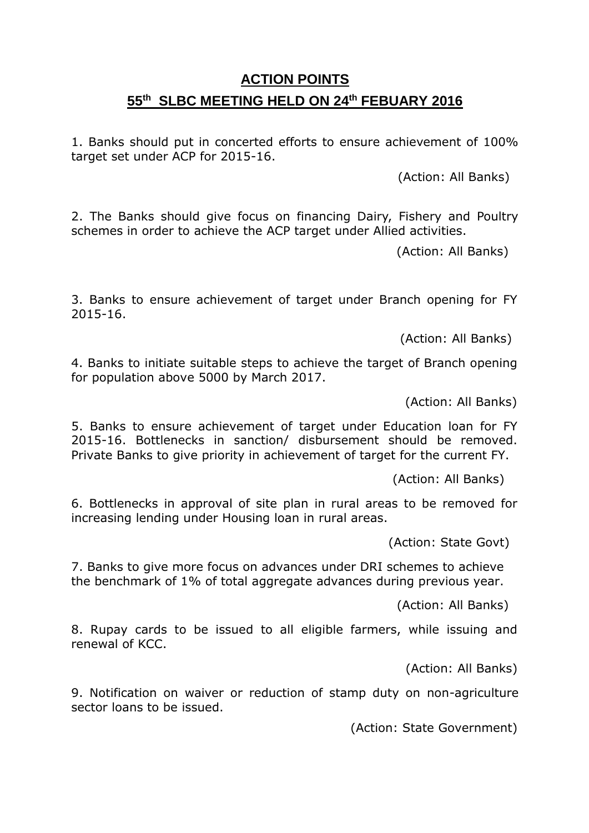# **ACTION POINTS 55 th SLBC MEETING HELD ON 24th FEBUARY 2016**

1. Banks should put in concerted efforts to ensure achievement of 100% target set under ACP for 2015-16.

(Action: All Banks)

2. The Banks should give focus on financing Dairy, Fishery and Poultry schemes in order to achieve the ACP target under Allied activities.

(Action: All Banks)

3. Banks to ensure achievement of target under Branch opening for FY 2015-16.

(Action: All Banks)

4. Banks to initiate suitable steps to achieve the target of Branch opening for population above 5000 by March 2017.

(Action: All Banks)

5. Banks to ensure achievement of target under Education loan for FY 2015-16. Bottlenecks in sanction/ disbursement should be removed. Private Banks to give priority in achievement of target for the current FY.

(Action: All Banks)

6. Bottlenecks in approval of site plan in rural areas to be removed for increasing lending under Housing loan in rural areas.

(Action: State Govt)

7. Banks to give more focus on advances under DRI schemes to achieve the benchmark of 1% of total aggregate advances during previous year.

(Action: All Banks)

8. Rupay cards to be issued to all eligible farmers, while issuing and renewal of KCC.

(Action: All Banks)

9. Notification on waiver or reduction of stamp duty on non-agriculture sector loans to be issued.

(Action: State Government)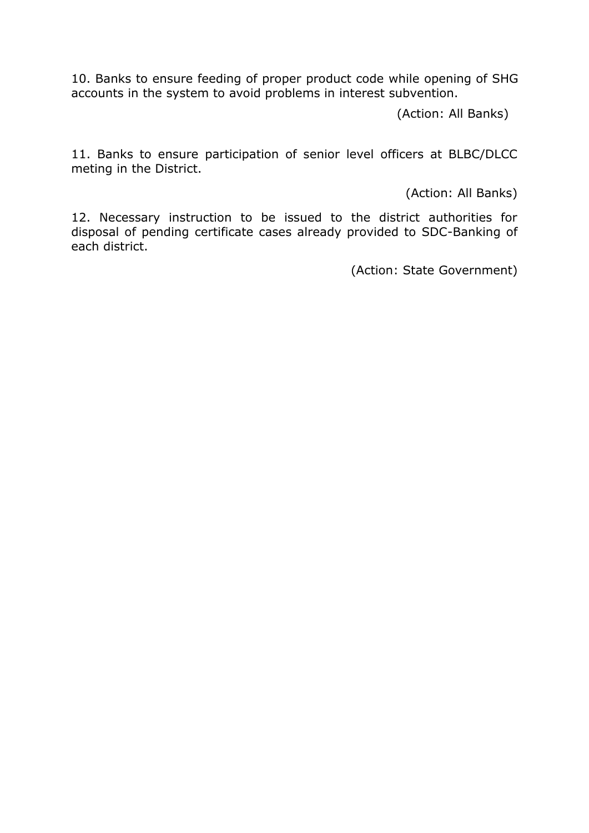10. Banks to ensure feeding of proper product code while opening of SHG accounts in the system to avoid problems in interest subvention.

(Action: All Banks)

11. Banks to ensure participation of senior level officers at BLBC/DLCC meting in the District.

(Action: All Banks)

12. Necessary instruction to be issued to the district authorities for disposal of pending certificate cases already provided to SDC-Banking of each district.

(Action: State Government)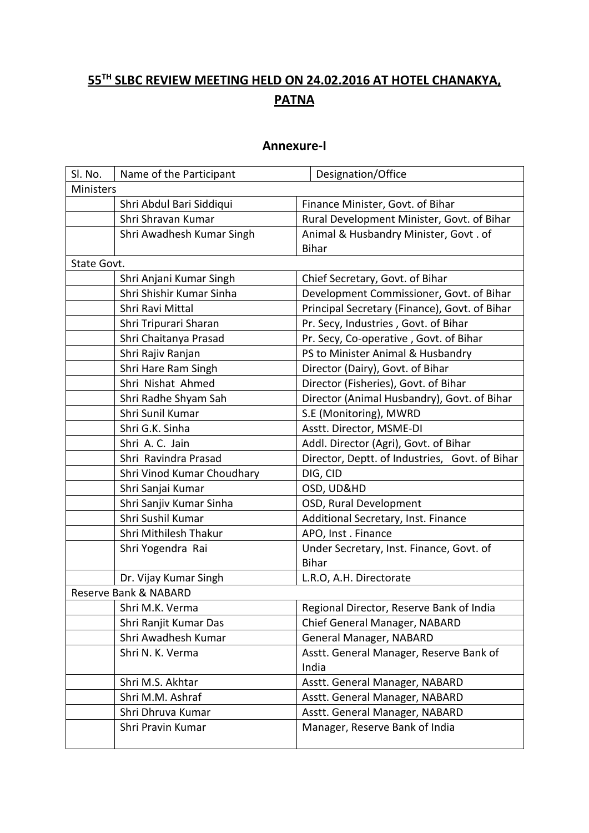# **55TH SLBC REVIEW MEETING HELD ON 24.02.2016 AT HOTEL CHANAKYA, PATNA**

#### **Annexure-I**

| Sl. No.               | Name of the Participant    | Designation/Office                             |  |
|-----------------------|----------------------------|------------------------------------------------|--|
| Ministers             |                            |                                                |  |
|                       | Shri Abdul Bari Siddiqui   | Finance Minister, Govt. of Bihar               |  |
|                       | Shri Shravan Kumar         | Rural Development Minister, Govt. of Bihar     |  |
|                       | Shri Awadhesh Kumar Singh  | Animal & Husbandry Minister, Govt. of          |  |
|                       |                            | <b>Bihar</b>                                   |  |
| State Govt.           |                            |                                                |  |
|                       | Shri Anjani Kumar Singh    | Chief Secretary, Govt. of Bihar                |  |
|                       | Shri Shishir Kumar Sinha   | Development Commissioner, Govt. of Bihar       |  |
|                       | Shri Ravi Mittal           | Principal Secretary (Finance), Govt. of Bihar  |  |
|                       | Shri Tripurari Sharan      | Pr. Secy, Industries, Govt. of Bihar           |  |
|                       | Shri Chaitanya Prasad      | Pr. Secy, Co-operative, Govt. of Bihar         |  |
|                       | Shri Rajiv Ranjan          | PS to Minister Animal & Husbandry              |  |
|                       | Shri Hare Ram Singh        | Director (Dairy), Govt. of Bihar               |  |
|                       | Shri Nishat Ahmed          | Director (Fisheries), Govt. of Bihar           |  |
|                       | Shri Radhe Shyam Sah       | Director (Animal Husbandry), Govt. of Bihar    |  |
|                       | Shri Sunil Kumar           | S.E (Monitoring), MWRD                         |  |
|                       | Shri G.K. Sinha            | Asstt. Director, MSME-DI                       |  |
|                       | Shri A. C. Jain            | Addl. Director (Agri), Govt. of Bihar          |  |
|                       | Shri Ravindra Prasad       | Director, Deptt. of Industries, Govt. of Bihar |  |
|                       | Shri Vinod Kumar Choudhary | DIG, CID                                       |  |
|                       | Shri Sanjai Kumar          | OSD, UD&HD                                     |  |
|                       | Shri Sanjiv Kumar Sinha    | OSD, Rural Development                         |  |
|                       | Shri Sushil Kumar          | Additional Secretary, Inst. Finance            |  |
|                       | Shri Mithilesh Thakur      | APO, Inst. Finance                             |  |
|                       | Shri Yogendra Rai          | Under Secretary, Inst. Finance, Govt. of       |  |
|                       |                            | <b>Bihar</b>                                   |  |
|                       | Dr. Vijay Kumar Singh      | L.R.O, A.H. Directorate                        |  |
| Reserve Bank & NABARD |                            |                                                |  |
|                       | Shri M.K. Verma            | Regional Director, Reserve Bank of India       |  |
|                       | Shri Ranjit Kumar Das      | Chief General Manager, NABARD                  |  |
|                       | Shri Awadhesh Kumar        | General Manager, NABARD                        |  |
|                       | Shri N. K. Verma           | Asstt. General Manager, Reserve Bank of        |  |
|                       |                            | India                                          |  |
|                       | Shri M.S. Akhtar           | Asstt. General Manager, NABARD                 |  |
|                       | Shri M.M. Ashraf           | Asstt. General Manager, NABARD                 |  |
|                       | Shri Dhruva Kumar          | Asstt. General Manager, NABARD                 |  |
|                       | Shri Pravin Kumar          | Manager, Reserve Bank of India                 |  |
|                       |                            |                                                |  |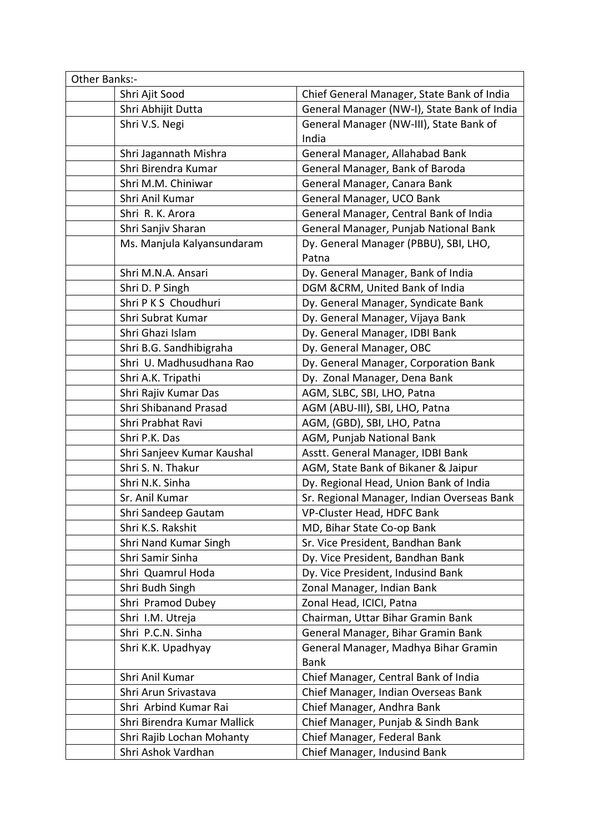| Other Banks:-               |                                                     |  |  |
|-----------------------------|-----------------------------------------------------|--|--|
| Shri Ajit Sood              | Chief General Manager, State Bank of India          |  |  |
| Shri Abhijit Dutta          | General Manager (NW-I), State Bank of India         |  |  |
| Shri V.S. Negi              | General Manager (NW-III), State Bank of<br>India    |  |  |
| Shri Jagannath Mishra       | General Manager, Allahabad Bank                     |  |  |
| Shri Birendra Kumar         | General Manager, Bank of Baroda                     |  |  |
| Shri M.M. Chiniwar          | General Manager, Canara Bank                        |  |  |
| Shri Anil Kumar             | General Manager, UCO Bank                           |  |  |
| Shri R. K. Arora            | General Manager, Central Bank of India              |  |  |
| Shri Sanjiv Sharan          | General Manager, Punjab National Bank               |  |  |
| Ms. Manjula Kalyansundaram  | Dy. General Manager (PBBU), SBI, LHO,<br>Patna      |  |  |
| Shri M.N.A. Ansari          | Dy. General Manager, Bank of India                  |  |  |
| Shri D. P Singh             | DGM &CRM, United Bank of India                      |  |  |
| Shri P K S Choudhuri        | Dy. General Manager, Syndicate Bank                 |  |  |
| Shri Subrat Kumar           | Dy. General Manager, Vijaya Bank                    |  |  |
| Shri Ghazi Islam            | Dy. General Manager, IDBI Bank                      |  |  |
| Shri B.G. Sandhibigraha     | Dy. General Manager, OBC                            |  |  |
| Shri U. Madhusudhana Rao    | Dy. General Manager, Corporation Bank               |  |  |
| Shri A.K. Tripathi          | Dy. Zonal Manager, Dena Bank                        |  |  |
| Shri Rajiv Kumar Das        | AGM, SLBC, SBI, LHO, Patna                          |  |  |
| Shri Shibanand Prasad       | AGM (ABU-III), SBI, LHO, Patna                      |  |  |
| Shri Prabhat Ravi           | AGM, (GBD), SBI, LHO, Patna                         |  |  |
| Shri P.K. Das               | AGM, Punjab National Bank                           |  |  |
| Shri Sanjeev Kumar Kaushal  | Asstt. General Manager, IDBI Bank                   |  |  |
| Shri S. N. Thakur           | AGM, State Bank of Bikaner & Jaipur                 |  |  |
| Shri N.K. Sinha             | Dy. Regional Head, Union Bank of India              |  |  |
| Sr. Anil Kumar              | Sr. Regional Manager, Indian Overseas Bank          |  |  |
| Shri Sandeep Gautam         | VP-Cluster Head, HDFC Bank                          |  |  |
| Shri K.S. Rakshit           | MD, Bihar State Co-op Bank                          |  |  |
| Shri Nand Kumar Singh       | Sr. Vice President, Bandhan Bank                    |  |  |
| Shri Samir Sinha            | Dy. Vice President, Bandhan Bank                    |  |  |
| Shri Quamrul Hoda           | Dy. Vice President, Indusind Bank                   |  |  |
| Shri Budh Singh             | Zonal Manager, Indian Bank                          |  |  |
| Shri Pramod Dubey           | Zonal Head, ICICI, Patna                            |  |  |
| Shri I.M. Utreja            | Chairman, Uttar Bihar Gramin Bank                   |  |  |
| Shri P.C.N. Sinha           | General Manager, Bihar Gramin Bank                  |  |  |
| Shri K.K. Upadhyay          | General Manager, Madhya Bihar Gramin<br><b>Bank</b> |  |  |
| Shri Anil Kumar             | Chief Manager, Central Bank of India                |  |  |
| Shri Arun Srivastava        | Chief Manager, Indian Overseas Bank                 |  |  |
| Shri Arbind Kumar Rai       | Chief Manager, Andhra Bank                          |  |  |
| Shri Birendra Kumar Mallick | Chief Manager, Punjab & Sindh Bank                  |  |  |
| Shri Rajib Lochan Mohanty   | Chief Manager, Federal Bank                         |  |  |
| Shri Ashok Vardhan          | Chief Manager, Indusind Bank                        |  |  |